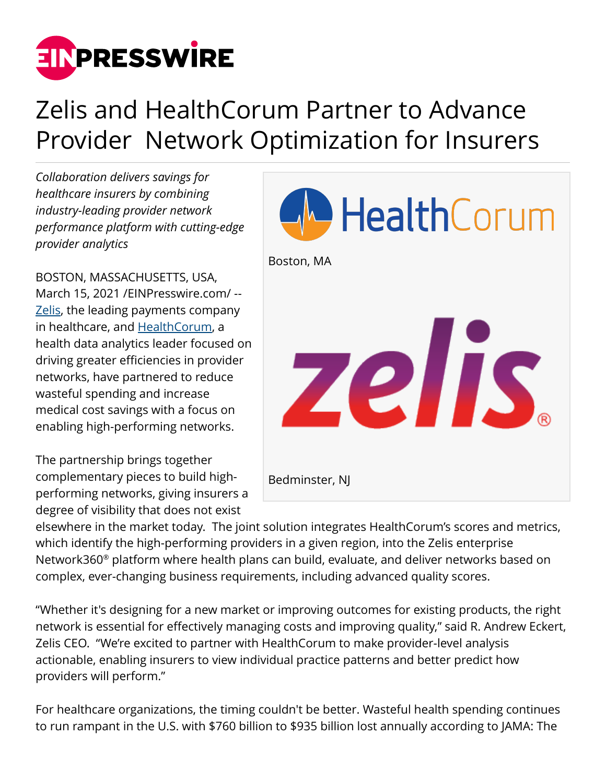

## Zelis and HealthCorum Partner to Advance Provider Network Optimization for Insurers

*Collaboration delivers savings for healthcare insurers by combining industry-leading provider network performance platform with cutting-edge provider analytics*

BOSTON, MASSACHUSETTS, USA, March 15, 2021 /[EINPresswire.com](http://www.einpresswire.com)/ -- [Zelis](https://www.zelis.com/), the leading payments company in healthcare, and [HealthCorum](http://www.healthcorum.com/), a health data analytics leader focused on driving greater efficiencies in provider networks, have partnered to reduce wasteful spending and increase medical cost savings with a focus on enabling high-performing networks.

The partnership brings together complementary pieces to build highperforming networks, giving insurers a degree of visibility that does not exist



elsewhere in the market today. The joint solution integrates HealthCorum's scores and metrics, which identify the high-performing providers in a given region, into the Zelis enterprise Network360® platform where health plans can build, evaluate, and deliver networks based on complex, ever-changing business requirements, including advanced quality scores.

"Whether it's designing for a new market or improving outcomes for existing products, the right network is essential for effectively managing costs and improving quality," said R. Andrew Eckert, Zelis CEO. "We're excited to partner with HealthCorum to make provider-level analysis actionable, enabling insurers to view individual practice patterns and better predict how providers will perform."

For healthcare organizations, the timing couldn't be better. Wasteful health spending continues to run rampant in the U.S. with \$760 billion to \$935 billion lost annually according to JAMA: The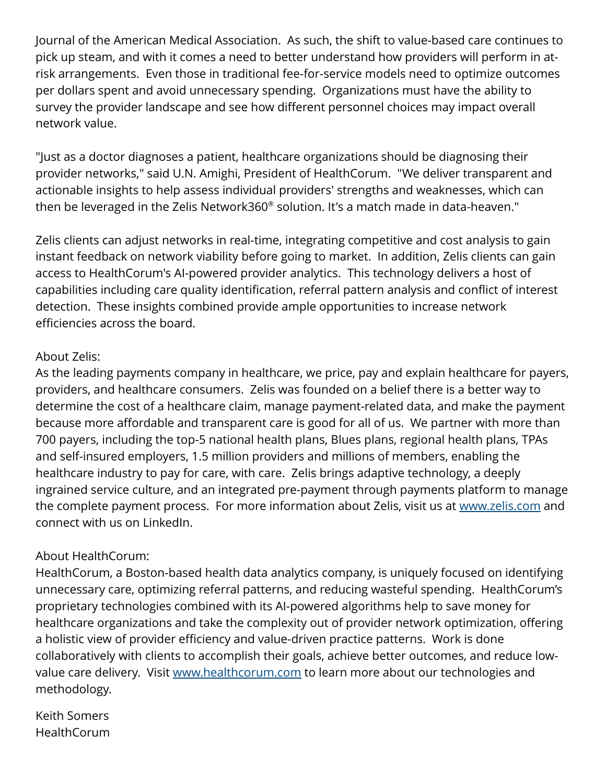Journal of the American Medical Association. As such, the shift to value-based care continues to pick up steam, and with it comes a need to better understand how providers will perform in atrisk arrangements. Even those in traditional fee-for-service models need to optimize outcomes per dollars spent and avoid unnecessary spending. Organizations must have the ability to survey the provider landscape and see how different personnel choices may impact overall network value.

"Just as a doctor diagnoses a patient, healthcare organizations should be diagnosing their provider networks," said U.N. Amighi, President of HealthCorum. "We deliver transparent and actionable insights to help assess individual providers' strengths and weaknesses, which can then be leveraged in the Zelis Network360® solution. It's a match made in data-heaven."

Zelis clients can adjust networks in real-time, integrating competitive and cost analysis to gain instant feedback on network viability before going to market. In addition, Zelis clients can gain access to HealthCorum's AI-powered provider analytics. This technology delivers a host of capabilities including care quality identification, referral pattern analysis and conflict of interest detection. These insights combined provide ample opportunities to increase network efficiencies across the board.

## About Zelis:

As the leading payments company in healthcare, we price, pay and explain healthcare for payers, providers, and healthcare consumers. Zelis was founded on a belief there is a better way to determine the cost of a healthcare claim, manage payment-related data, and make the payment because more affordable and transparent care is good for all of us. We partner with more than 700 payers, including the top-5 national health plans, Blues plans, regional health plans, TPAs and self-insured employers, 1.5 million providers and millions of members, enabling the healthcare industry to pay for care, with care. Zelis brings adaptive technology, a deeply ingrained service culture, and an integrated pre-payment through payments platform to manage the complete payment process. For more information about Zelis, visit us at [www.zelis.com](http://www.zelis.com) and connect with us on LinkedIn.

## About HealthCorum:

HealthCorum, a Boston-based health data analytics company, is uniquely focused on identifying unnecessary care, optimizing referral patterns, and reducing wasteful spending. HealthCorum's proprietary technologies combined with its AI-powered algorithms help to save money for healthcare organizations and take the complexity out of provider network optimization, offering a holistic view of provider efficiency and value-driven practice patterns. Work is done collaboratively with clients to accomplish their goals, achieve better outcomes, and reduce lowvalue care delivery. Visit [www.healthcorum.com](http://www.healthcorum.com) to learn more about our technologies and methodology.

Keith Somers **HealthCorum**